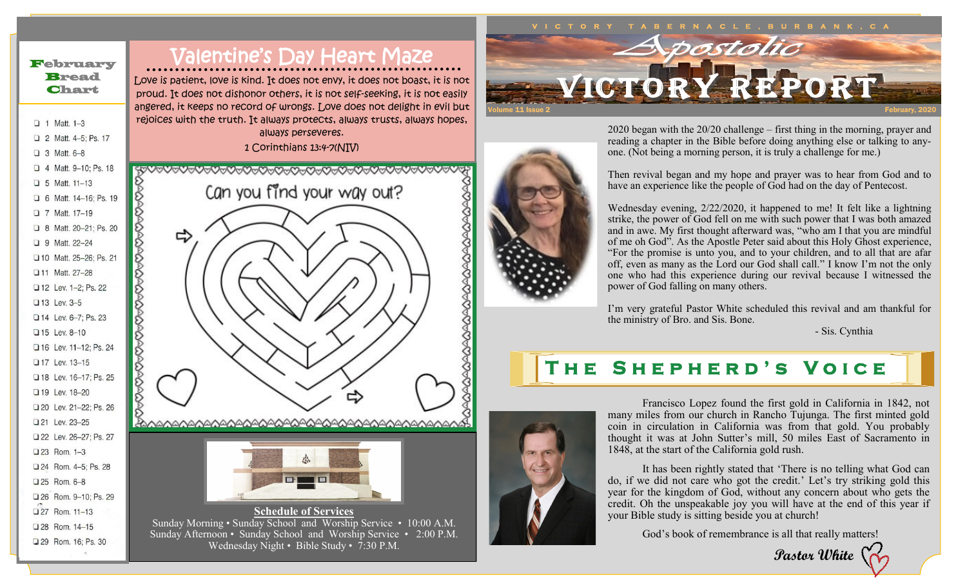## February Bread **Chart**

2 Matt. 4-5: Ps. 17

4 Matt. 9-10: Ps. 18

□ 6 Matt. 14-16: Ps. 19

□ 8 Matt. 20-21: Ps. 20

□ 10 Matt. 25-26: Ps. 21 □ 11 Matt. 27-28

12 Lev. 1-2: Ps. 22

□ 16 Lev. 11-12: Ps. 24 17 Lev. 13-15

□ 18 Lev. 16-17; Ps. 25

20 Lev. 21-22: Ps. 26

22 Lev. 26-27; Ps. 27

□ 26 Rom, 9-10: Ps. 29 □ 27 Rom. 11-13 Q 28 Rom, 14-15 29 Rom. 16; Ps. 30

19 Lev. 18-20

21 Lev. 23-25

Q 23 Rom, 1-3 □ 24 Rom. 4-5: Ps. 28 □ 25 Rom, 6-8

□ 13 Lev. 3-5 □ 14 Lev. 6-7: Ps. 23 □ 15 Lev. 8-10

 $\Box$  1 Matt. 1-3

 $\Box$  3 Matt. 6-8

 $\Box$  5 Matt. 11-13

□ 7 Matt. 17-19

**D** 9 Matt. 22-24

## Valentine's Day Heart Maze

Love is patient, love is kind. It does not envy, it does not boast, it is not proud. It does not dishonor others, it is not self-seeking, it is not easily angered, it keeps no record of wrongs. Love does not delight in evil but rejoices with the truth. It always protects, always trusts, always hopes,

always perseveres. 1 Corinthians 13:4-7(NIV)

<del>;</del>�VvVvVvVvVvVvVvVvVvOvOvOvVvVvVvVvVvV

Can you find your way out? ⇨ SOSO <u>കുറ്റരുറ്റരുറ്റരുറ്റരു</u>രുമായി കാര്യമായി കാര്യമായി കാര്യമായി കാര്യമായി കാര്യമായി കാര്യമായി കാര്യമായി കാര്യമായി l **Schedule of Services** Sunday Morning • Sunday School and Worship Service • 10:00 A.M. Sunday Afternoon • Sunday School and Worship Service • 2:00 P.M. Wednesday Night • Bible Study •  $\bar{7}:30$  P.M.



2020 began with the 20/20 challenge – first thing in the morning, prayer and reading a chapter in the Bible before doing anything else or talking to anyone. (Not being a morning person, it is truly a challenge for me.)

Then revival began and my hope and prayer was to hear from God and to have an experience like the people of God had on the day of Pentecost.

Wednesday evening, 2/22/2020, it happened to me! It felt like a lightning strike, the power of God fell on me with such power that I was both amazed and in awe. My first thought afterward was, "who am I that you are mindful of me oh God". As the Apostle Peter said about this Holy Ghost experience, "For the promise is unto you, and to your children, and to all that are afar off, even as many as the Lord our God shall call." I know I'm not the only one who had this experience during our revival because I witnessed the power of God falling on many others.

I'm very grateful Pastor White scheduled this revival and am thankful for the ministry of Bro. and Sis. Bone.

- Sis. Cynthia

## **T h e S h e p h e r d ' s V o i c e**



Francisco Lopez found the first gold in California in 1842, not many miles from our church in Rancho Tujunga. The first minted gold coin in circulation in California was from that gold. You probably thought it was at John Sutter's mill, 50 miles East of Sacramento in 1848, at the start of the California gold rush.

It has been rightly stated that 'There is no telling what God can do, if we did not care who got the credit.' Let's try striking gold this year for the kingdom of God, without any concern about who gets the credit. Oh the unspeakable joy you will have at the end of this year if your Bible study is sitting beside you at church!

God's book of remembrance is all that really matters!

**Pastor White**